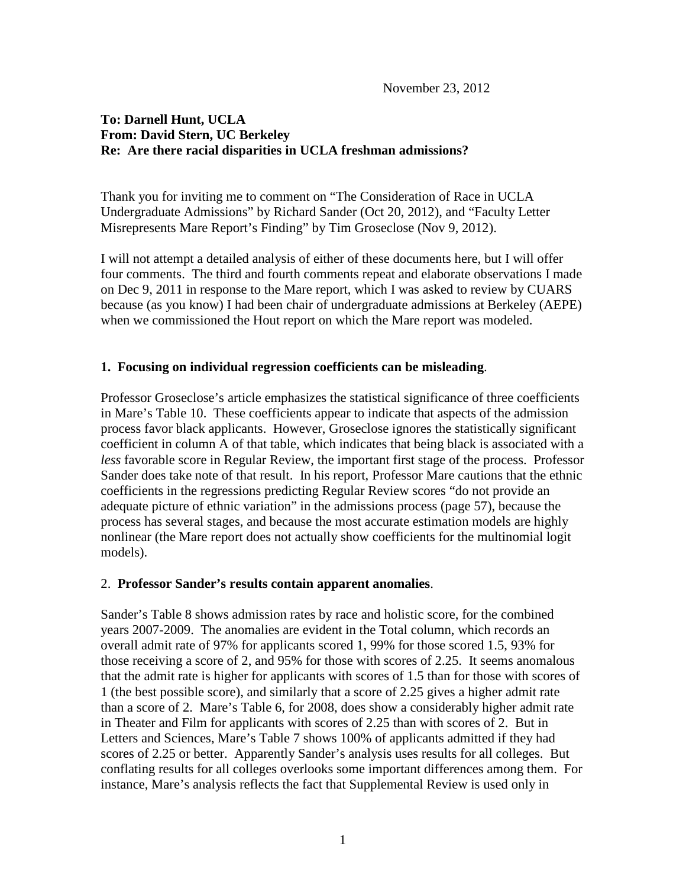# **To: Darnell Hunt, UCLA From: David Stern, UC Berkeley Re: Are there racial disparities in UCLA freshman admissions?**

Thank you for inviting me to comment on "The Consideration of Race in UCLA Undergraduate Admissions" by Richard Sander (Oct 20, 2012), and "Faculty Letter Misrepresents Mare Report's Finding" by Tim Groseclose (Nov 9, 2012).

I will not attempt a detailed analysis of either of these documents here, but I will offer four comments. The third and fourth comments repeat and elaborate observations I made on Dec 9, 2011 in response to the Mare report, which I was asked to review by CUARS because (as you know) I had been chair of undergraduate admissions at Berkeley (AEPE) when we commissioned the Hout report on which the Mare report was modeled.

# **1. Focusing on individual regression coefficients can be misleading**.

Professor Groseclose's article emphasizes the statistical significance of three coefficients in Mare's Table 10. These coefficients appear to indicate that aspects of the admission process favor black applicants. However, Groseclose ignores the statistically significant coefficient in column A of that table, which indicates that being black is associated with a *less* favorable score in Regular Review, the important first stage of the process. Professor Sander does take note of that result. In his report, Professor Mare cautions that the ethnic coefficients in the regressions predicting Regular Review scores "do not provide an adequate picture of ethnic variation" in the admissions process (page 57), because the process has several stages, and because the most accurate estimation models are highly nonlinear (the Mare report does not actually show coefficients for the multinomial logit models).

#### 2. **Professor Sander's results contain apparent anomalies**.

Sander's Table 8 shows admission rates by race and holistic score, for the combined years 2007-2009. The anomalies are evident in the Total column, which records an overall admit rate of 97% for applicants scored 1, 99% for those scored 1.5, 93% for those receiving a score of 2, and 95% for those with scores of 2.25. It seems anomalous that the admit rate is higher for applicants with scores of 1.5 than for those with scores of 1 (the best possible score), and similarly that a score of 2.25 gives a higher admit rate than a score of 2. Mare's Table 6, for 2008, does show a considerably higher admit rate in Theater and Film for applicants with scores of 2.25 than with scores of 2. But in Letters and Sciences, Mare's Table 7 shows 100% of applicants admitted if they had scores of 2.25 or better. Apparently Sander's analysis uses results for all colleges. But conflating results for all colleges overlooks some important differences among them. For instance, Mare's analysis reflects the fact that Supplemental Review is used only in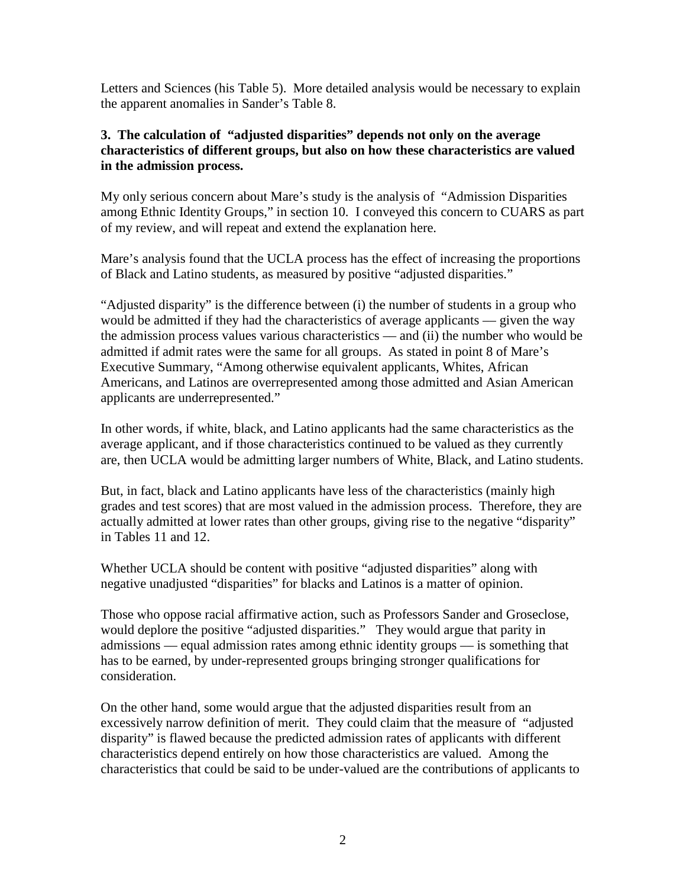Letters and Sciences (his Table 5). More detailed analysis would be necessary to explain the apparent anomalies in Sander's Table 8.

## **3. The calculation of "adjusted disparities" depends not only on the average characteristics of different groups, but also on how these characteristics are valued in the admission process.**

My only serious concern about Mare's study is the analysis of "Admission Disparities among Ethnic Identity Groups," in section 10. I conveyed this concern to CUARS as part of my review, and will repeat and extend the explanation here.

Mare's analysis found that the UCLA process has the effect of increasing the proportions of Black and Latino students, as measured by positive "adjusted disparities."

"Adjusted disparity" is the difference between (i) the number of students in a group who would be admitted if they had the characteristics of average applicants — given the way the admission process values various characteristics –– and (ii) the number who would be admitted if admit rates were the same for all groups. As stated in point 8 of Mare's Executive Summary, "Among otherwise equivalent applicants, Whites, African Americans, and Latinos are overrepresented among those admitted and Asian American applicants are underrepresented."

In other words, if white, black, and Latino applicants had the same characteristics as the average applicant, and if those characteristics continued to be valued as they currently are, then UCLA would be admitting larger numbers of White, Black, and Latino students.

But, in fact, black and Latino applicants have less of the characteristics (mainly high grades and test scores) that are most valued in the admission process. Therefore, they are actually admitted at lower rates than other groups, giving rise to the negative "disparity" in Tables 11 and 12.

Whether UCLA should be content with positive "adjusted disparities" along with negative unadjusted "disparities" for blacks and Latinos is a matter of opinion.

Those who oppose racial affirmative action, such as Professors Sander and Groseclose, would deplore the positive "adjusted disparities." They would argue that parity in admissions –– equal admission rates among ethnic identity groups –– is something that has to be earned, by under-represented groups bringing stronger qualifications for consideration.

On the other hand, some would argue that the adjusted disparities result from an excessively narrow definition of merit. They could claim that the measure of "adjusted disparity" is flawed because the predicted admission rates of applicants with different characteristics depend entirely on how those characteristics are valued. Among the characteristics that could be said to be under-valued are the contributions of applicants to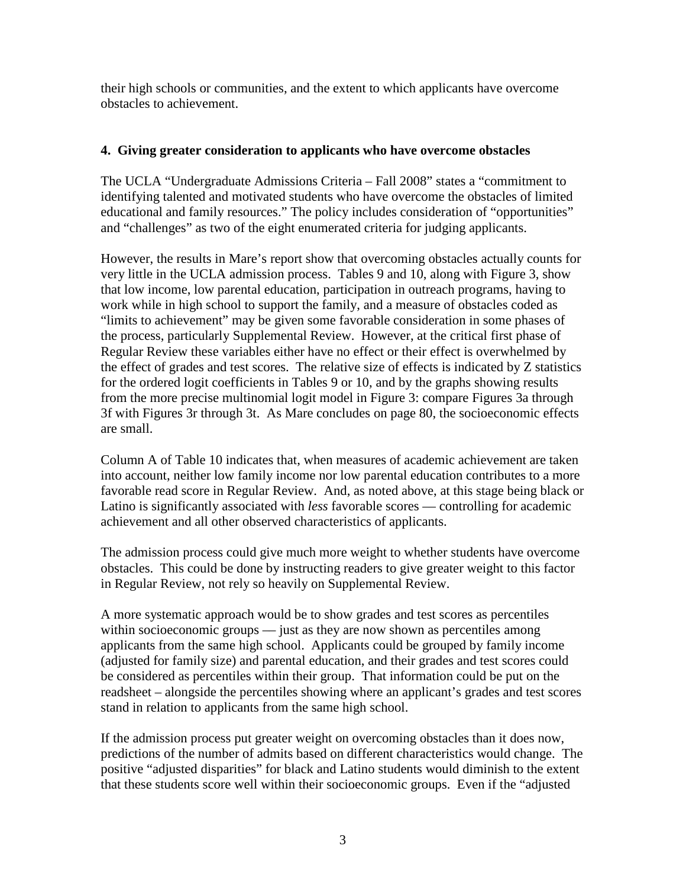their high schools or communities, and the extent to which applicants have overcome obstacles to achievement.

### **4. Giving greater consideration to applicants who have overcome obstacles**

The UCLA "Undergraduate Admissions Criteria – Fall 2008" states a "commitment to identifying talented and motivated students who have overcome the obstacles of limited educational and family resources." The policy includes consideration of "opportunities" and "challenges" as two of the eight enumerated criteria for judging applicants.

However, the results in Mare's report show that overcoming obstacles actually counts for very little in the UCLA admission process. Tables 9 and 10, along with Figure 3, show that low income, low parental education, participation in outreach programs, having to work while in high school to support the family, and a measure of obstacles coded as "limits to achievement" may be given some favorable consideration in some phases of the process, particularly Supplemental Review. However, at the critical first phase of Regular Review these variables either have no effect or their effect is overwhelmed by the effect of grades and test scores. The relative size of effects is indicated by Z statistics for the ordered logit coefficients in Tables 9 or 10, and by the graphs showing results from the more precise multinomial logit model in Figure 3: compare Figures 3a through 3f with Figures 3r through 3t. As Mare concludes on page 80, the socioeconomic effects are small.

Column A of Table 10 indicates that, when measures of academic achievement are taken into account, neither low family income nor low parental education contributes to a more favorable read score in Regular Review. And, as noted above, at this stage being black or Latino is significantly associated with *less* favorable scores — controlling for academic achievement and all other observed characteristics of applicants.

The admission process could give much more weight to whether students have overcome obstacles. This could be done by instructing readers to give greater weight to this factor in Regular Review, not rely so heavily on Supplemental Review.

A more systematic approach would be to show grades and test scores as percentiles within socioeconomic groups — just as they are now shown as percentiles among applicants from the same high school. Applicants could be grouped by family income (adjusted for family size) and parental education, and their grades and test scores could be considered as percentiles within their group. That information could be put on the readsheet – alongside the percentiles showing where an applicant's grades and test scores stand in relation to applicants from the same high school.

If the admission process put greater weight on overcoming obstacles than it does now, predictions of the number of admits based on different characteristics would change. The positive "adjusted disparities" for black and Latino students would diminish to the extent that these students score well within their socioeconomic groups. Even if the "adjusted